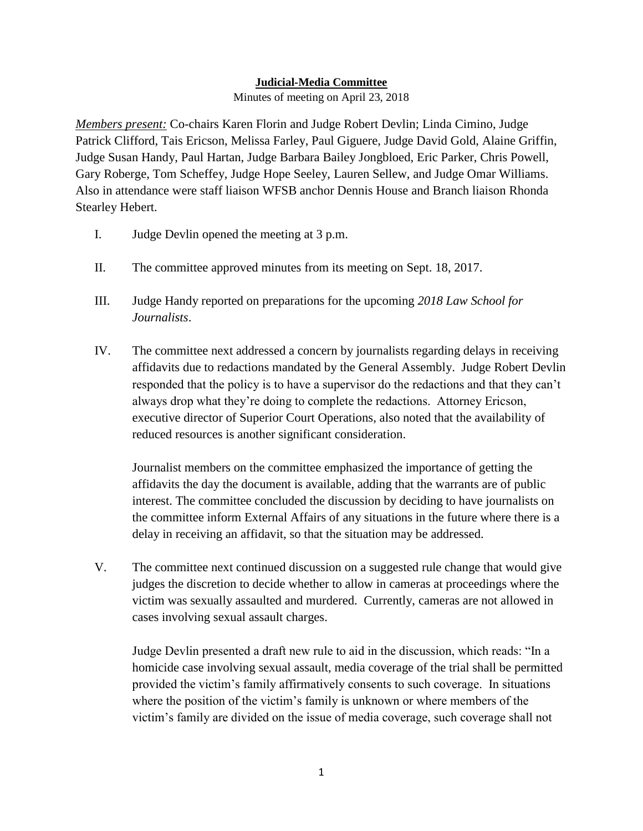## **Judicial-Media Committee**

Minutes of meeting on April 23, 2018

*Members present:* Co-chairs Karen Florin and Judge Robert Devlin; Linda Cimino, Judge Patrick Clifford, Tais Ericson, Melissa Farley, Paul Giguere, Judge David Gold, Alaine Griffin, Judge Susan Handy, Paul Hartan, Judge Barbara Bailey Jongbloed, Eric Parker, Chris Powell, Gary Roberge, Tom Scheffey, Judge Hope Seeley, Lauren Sellew, and Judge Omar Williams. Also in attendance were staff liaison WFSB anchor Dennis House and Branch liaison Rhonda Stearley Hebert.

- I. Judge Devlin opened the meeting at 3 p.m.
- II. The committee approved minutes from its meeting on Sept. 18, 2017.
- III. Judge Handy reported on preparations for the upcoming *2018 Law School for Journalists*.
- IV. The committee next addressed a concern by journalists regarding delays in receiving affidavits due to redactions mandated by the General Assembly. Judge Robert Devlin responded that the policy is to have a supervisor do the redactions and that they can't always drop what they're doing to complete the redactions. Attorney Ericson, executive director of Superior Court Operations, also noted that the availability of reduced resources is another significant consideration.

Journalist members on the committee emphasized the importance of getting the affidavits the day the document is available, adding that the warrants are of public interest. The committee concluded the discussion by deciding to have journalists on the committee inform External Affairs of any situations in the future where there is a delay in receiving an affidavit, so that the situation may be addressed.

V. The committee next continued discussion on a suggested rule change that would give judges the discretion to decide whether to allow in cameras at proceedings where the victim was sexually assaulted and murdered. Currently, cameras are not allowed in cases involving sexual assault charges.

Judge Devlin presented a draft new rule to aid in the discussion, which reads: "In a homicide case involving sexual assault, media coverage of the trial shall be permitted provided the victim's family affirmatively consents to such coverage. In situations where the position of the victim's family is unknown or where members of the victim's family are divided on the issue of media coverage, such coverage shall not